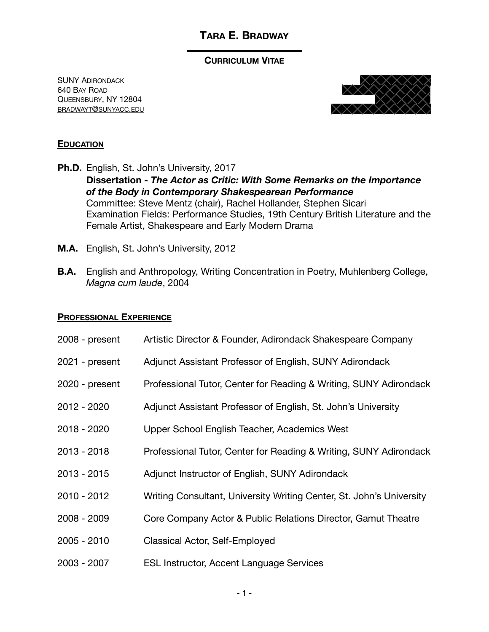#### **CURRICULUM VITAE**

SUNY ADIRONDACK 640 BAY ROAD QUEENSBURY, NY 12804 [BRADWAYT@SUNYACC.EDU](mailto:bradwayt@sunyacc.edu) 



#### **EDUCATION**

- **Ph.D.** English, St. John's University, 2017 **Dissertation -** *The Actor as Critic: With Some Remarks on the Importance of the Body in Contemporary Shakespearean Performance*  Committee: Steve Mentz (chair), Rachel Hollander, Stephen Sicari Examination Fields: Performance Studies, 19th Century British Literature and the Female Artist, Shakespeare and Early Modern Drama
- **M.A.** English, St. John's University, 2012
- **B.A.** English and Anthropology, Writing Concentration in Poetry, Muhlenberg College, *Magna cum laude*, 2004

#### **PROFESSIONAL EXPERIENCE**

| 2008 - present | Artistic Director & Founder, Adirondack Shakespeare Company          |
|----------------|----------------------------------------------------------------------|
| 2021 - present | Adjunct Assistant Professor of English, SUNY Adirondack              |
| 2020 - present | Professional Tutor, Center for Reading & Writing, SUNY Adirondack    |
| 2012 - 2020    | Adjunct Assistant Professor of English, St. John's University        |
| 2018 - 2020    | Upper School English Teacher, Academics West                         |
| $2013 - 2018$  | Professional Tutor, Center for Reading & Writing, SUNY Adirondack    |
| $2013 - 2015$  | Adjunct Instructor of English, SUNY Adirondack                       |
| $2010 - 2012$  | Writing Consultant, University Writing Center, St. John's University |
| 2008 - 2009    | Core Company Actor & Public Relations Director, Gamut Theatre        |
| 2005 - 2010    | Classical Actor, Self-Employed                                       |
| 2003 - 2007    | <b>ESL Instructor, Accent Language Services</b>                      |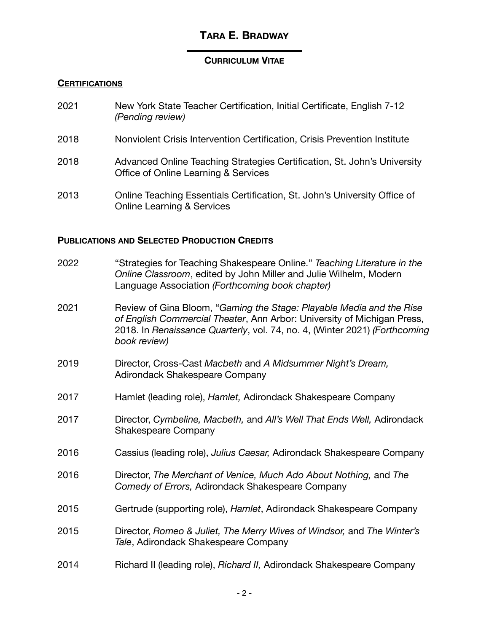## **CURRICULUM VITAE**

### **CERTIFICATIONS**

| 2021 | New York State Teacher Certification, Initial Certificate, English 7-12<br>(Pending review)                        |
|------|--------------------------------------------------------------------------------------------------------------------|
| 2018 | Nonviolent Crisis Intervention Certification, Crisis Prevention Institute                                          |
| 2018 | Advanced Online Teaching Strategies Certification, St. John's University<br>Office of Online Learning & Services   |
| 2013 | Online Teaching Essentials Certification, St. John's University Office of<br><b>Online Learning &amp; Services</b> |

## **PUBLICATIONS AND SELECTED PRODUCTION CREDITS**

| 2022 | "Strategies for Teaching Shakespeare Online." Teaching Literature in the<br>Online Classroom, edited by John Miller and Julie Wilhelm, Modern<br>Language Association (Forthcoming book chapter)                                              |
|------|-----------------------------------------------------------------------------------------------------------------------------------------------------------------------------------------------------------------------------------------------|
| 2021 | Review of Gina Bloom, "Gaming the Stage: Playable Media and the Rise<br>of English Commercial Theater, Ann Arbor: University of Michigan Press,<br>2018. In Renaissance Quarterly, vol. 74, no. 4, (Winter 2021) (Forthcoming<br>book review) |
| 2019 | Director, Cross-Cast Macbeth and A Midsummer Night's Dream,<br><b>Adirondack Shakespeare Company</b>                                                                                                                                          |
| 2017 | Hamlet (leading role), Hamlet, Adirondack Shakespeare Company                                                                                                                                                                                 |
| 2017 | Director, Cymbeline, Macbeth, and All's Well That Ends Well, Adirondack<br><b>Shakespeare Company</b>                                                                                                                                         |
| 2016 | Cassius (leading role), Julius Caesar, Adirondack Shakespeare Company                                                                                                                                                                         |
| 2016 | Director, The Merchant of Venice, Much Ado About Nothing, and The<br>Comedy of Errors, Adirondack Shakespeare Company                                                                                                                         |
| 2015 | Gertrude (supporting role), Hamlet, Adirondack Shakespeare Company                                                                                                                                                                            |
| 2015 | Director, Romeo & Juliet, The Merry Wives of Windsor, and The Winter's<br>Tale, Adirondack Shakespeare Company                                                                                                                                |
| 2014 | Richard II (leading role), Richard II, Adirondack Shakespeare Company                                                                                                                                                                         |
|      |                                                                                                                                                                                                                                               |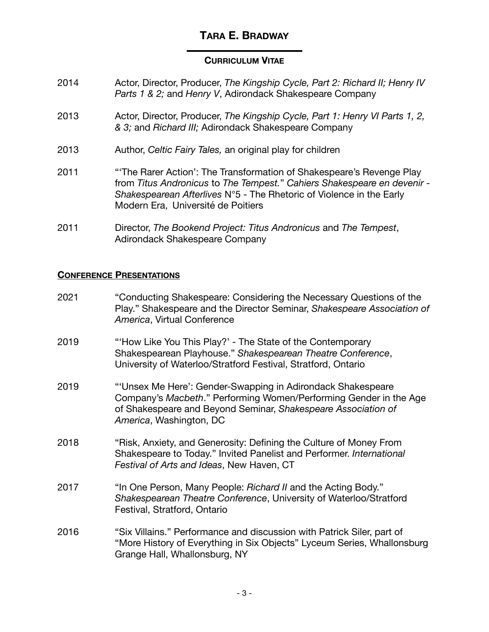#### **CURRICULUM VITAE**

- 2014 **Actor, Director, Producer,** *The Kingship Cycle, Part 2: Richard II; Henry IV Parts 1 & 2; and Henry V, Adirondack Shakespeare Company*
- 2013 Actor, Director, Producer, *The Kingship Cycle, Part 1: Henry VI Parts 1, 2, & 3;* and *Richard III;* Adirondack Shakespeare Company
- 2013 Author, *Celtic Fairy Tales,* an original play for children
- 2011 **"**The Rarer Action': The Transformation of Shakespeare's Revenge Play from *Titus Andronicus* to *The Tempest.*" *Cahiers Shakespeare en devenir - Shakespearean Afterlives* N°5 - The Rhetoric of Violence in the Early Modern Era, Université de Poitiers
- 2011 Director, *The Bookend Project: Titus Andronicus* and *The Tempest*, Adirondack Shakespeare Company

#### **CONFERENCE PRESENTATIONS**

2021 "Conducting Shakespeare: Considering the Necessary Questions of the Play." Shakespeare and the Director Seminar, *Shakespeare Association of America*, Virtual Conference 2019 "How Like You This Play?' - The State of the Contemporary Shakespearean Playhouse." *Shakespearean Theatre Conference*, University of Waterloo/Stratford Festival, Stratford, Ontario 2019 **The Step Step Step 2019 "** "Unsex Me Here': Gender-Swapping in Adirondack Shakespeare Company's *Macbeth*." Performing Women/Performing Gender in the Age of Shakespeare and Beyond Seminar, *Shakespeare Association of America*, Washington, DC 2018 "Risk, Anxiety, and Generosity: Defining the Culture of Money From Shakespeare to Today." Invited Panelist and Performer. *International Festival of Arts and Ideas*, New Haven, CT 2017 "In One Person, Many People: *Richard II* and the Acting Body." *Shakespearean Theatre Conference*, University of Waterloo/Stratford Festival, Stratford, Ontario 2016 "Six Villains." Performance and discussion with Patrick Siler, part of "More History of Everything in Six Objects" Lyceum Series, Whallonsburg Grange Hall, Whallonsburg, NY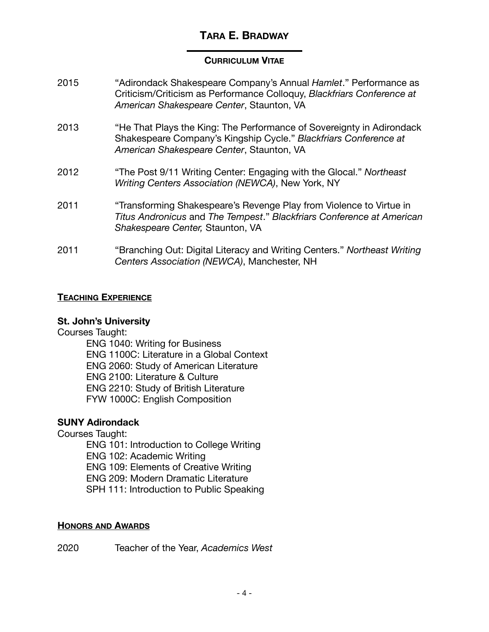### **CURRICULUM VITAE**

| 2015 | "Adirondack Shakespeare Company's Annual Hamlet." Performance as<br>Criticism/Criticism as Performance Colloquy, Blackfriars Conference at<br>American Shakespeare Center, Staunton, VA |
|------|-----------------------------------------------------------------------------------------------------------------------------------------------------------------------------------------|
| 2013 | "He That Plays the King: The Performance of Sovereignty in Adirondack<br>Shakespeare Company's Kingship Cycle." Blackfriars Conference at<br>American Shakespeare Center, Staunton, VA  |
| 2012 | "The Post 9/11 Writing Center: Engaging with the Glocal." Northeast<br>Writing Centers Association (NEWCA), New York, NY                                                                |
| 2011 | "Transforming Shakespeare's Revenge Play from Violence to Virtue in<br>Titus Andronicus and The Tempest." Blackfriars Conference at American<br>Shakespeare Center, Staunton, VA        |
| 2011 | "Branching Out: Digital Literacy and Writing Centers." Northeast Writing<br>Centers Association (NEWCA), Manchester, NH                                                                 |

### **TEACHING EXPERIENCE**

#### **St. John's University**

Courses Taught:

ENG 1040: Writing for Business ENG 1100C: Literature in a Global Context ENG 2060: Study of American Literature ENG 2100: Literature & Culture ENG 2210: Study of British Literature FYW 1000C: English Composition

## **SUNY Adirondack**

Courses Taught: ENG 101: Introduction to College Writing ENG 102: Academic Writing ENG 109: Elements of Creative Writing ENG 209: Modern Dramatic Literature SPH 111: Introduction to Public Speaking

# **HONORS AND AWARDS**

2020 Teacher of the Year, *Academics West*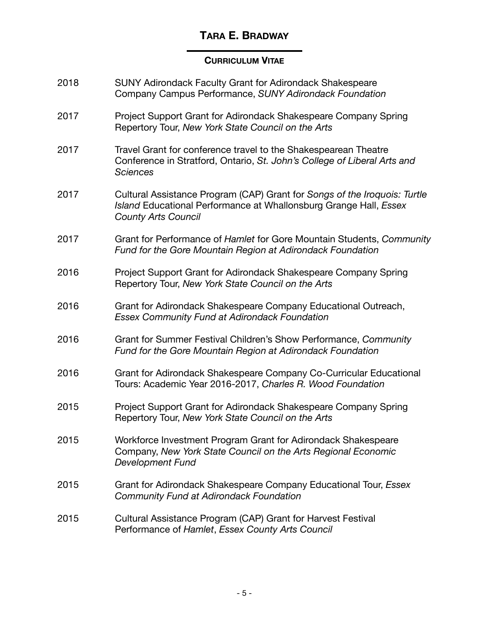# **CURRICULUM VITAE**

| 2018 | <b>SUNY Adirondack Faculty Grant for Adirondack Shakespeare</b><br>Company Campus Performance, SUNY Adirondack Foundation                                                    |
|------|------------------------------------------------------------------------------------------------------------------------------------------------------------------------------|
| 2017 | Project Support Grant for Adirondack Shakespeare Company Spring<br>Repertory Tour, New York State Council on the Arts                                                        |
| 2017 | Travel Grant for conference travel to the Shakespearean Theatre<br>Conference in Stratford, Ontario, St. John's College of Liberal Arts and<br><b>Sciences</b>               |
| 2017 | Cultural Assistance Program (CAP) Grant for Songs of the Iroquois: Turtle<br>Island Educational Performance at Whallonsburg Grange Hall, Essex<br><b>County Arts Council</b> |
| 2017 | Grant for Performance of Hamlet for Gore Mountain Students, Community<br>Fund for the Gore Mountain Region at Adirondack Foundation                                          |
| 2016 | Project Support Grant for Adirondack Shakespeare Company Spring<br>Repertory Tour, New York State Council on the Arts                                                        |
| 2016 | Grant for Adirondack Shakespeare Company Educational Outreach,<br><b>Essex Community Fund at Adirondack Foundation</b>                                                       |
| 2016 | Grant for Summer Festival Children's Show Performance, Community<br>Fund for the Gore Mountain Region at Adirondack Foundation                                               |
| 2016 | Grant for Adirondack Shakespeare Company Co-Curricular Educational<br>Tours: Academic Year 2016-2017, Charles R. Wood Foundation                                             |
| 2015 | Project Support Grant for Adirondack Shakespeare Company Spring<br>Repertory Tour, New York State Council on the Arts                                                        |
| 2015 | Workforce Investment Program Grant for Adirondack Shakespeare<br>Company, New York State Council on the Arts Regional Economic<br><b>Development Fund</b>                    |
| 2015 | Grant for Adirondack Shakespeare Company Educational Tour, Essex<br><b>Community Fund at Adirondack Foundation</b>                                                           |
| 2015 | Cultural Assistance Program (CAP) Grant for Harvest Festival<br>Performance of Hamlet, Essex County Arts Council                                                             |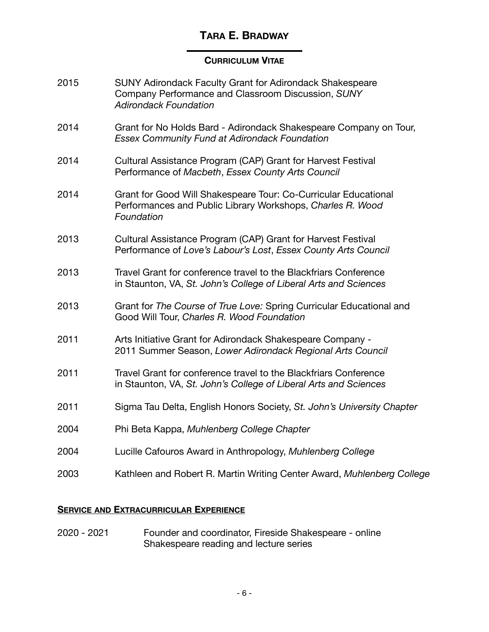#### **CURRICULUM VITAE**

| 2015 | SUNY Adirondack Faculty Grant for Adirondack Shakespeare<br>Company Performance and Classroom Discussion, SUNY<br><b>Adirondack Foundation</b> |
|------|------------------------------------------------------------------------------------------------------------------------------------------------|
| 2014 | Grant for No Holds Bard - Adirondack Shakespeare Company on Tour,<br><b>Essex Community Fund at Adirondack Foundation</b>                      |
| 2014 | Cultural Assistance Program (CAP) Grant for Harvest Festival<br>Performance of Macbeth, Essex County Arts Council                              |
| 2014 | Grant for Good Will Shakespeare Tour: Co-Curricular Educational<br>Performances and Public Library Workshops, Charles R. Wood<br>Foundation    |
| 2013 | Cultural Assistance Program (CAP) Grant for Harvest Festival<br>Performance of Love's Labour's Lost, Essex County Arts Council                 |
| 2013 | Travel Grant for conference travel to the Blackfriars Conference<br>in Staunton, VA, St. John's College of Liberal Arts and Sciences           |
| 2013 | Grant for The Course of True Love: Spring Curricular Educational and<br>Good Will Tour, Charles R. Wood Foundation                             |
| 2011 | Arts Initiative Grant for Adirondack Shakespeare Company -<br>2011 Summer Season, Lower Adirondack Regional Arts Council                       |
| 2011 | Travel Grant for conference travel to the Blackfriars Conference<br>in Staunton, VA, St. John's College of Liberal Arts and Sciences           |
| 2011 | Sigma Tau Delta, English Honors Society, St. John's University Chapter                                                                         |
| 2004 | Phi Beta Kappa, Muhlenberg College Chapter                                                                                                     |
| 2004 | Lucille Cafouros Award in Anthropology, Muhlenberg College                                                                                     |
| 2003 | Kathleen and Robert R. Martin Writing Center Award, Muhlenberg College                                                                         |

## **SERVICE AND EXTRACURRICULAR EXPERIENCE**

2020 - 2021 Founder and coordinator, Fireside Shakespeare - online Shakespeare reading and lecture series